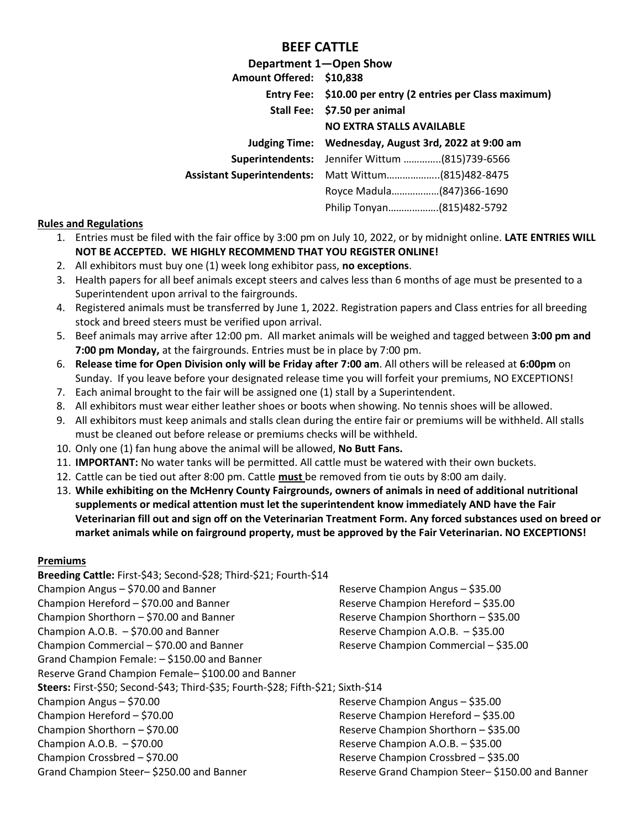## **BEEF CATTLE**

|                                   | Department 1-Open Show                                           |  |  |
|-----------------------------------|------------------------------------------------------------------|--|--|
| Amount Offered: \$10,838          |                                                                  |  |  |
|                                   | Entry Fee: \$10.00 per entry (2 entries per Class maximum)       |  |  |
|                                   | Stall Fee: \$7.50 per animal<br><b>NO EXTRA STALLS AVAILABLE</b> |  |  |
|                                   |                                                                  |  |  |
|                                   | Judging Time: Wednesday, August 3rd, 2022 at 9:00 am             |  |  |
| Superintendents:                  | Jennifer Wittum (815)739-6566                                    |  |  |
| <b>Assistant Superintendents:</b> | Matt Wittum(815)482-8475                                         |  |  |
|                                   | Royce Madula(847)366-1690                                        |  |  |
|                                   | Philip Tonyan(815)482-5792                                       |  |  |

#### **Rules and Regulations**

- 1. Entries must be filed with the fair office by 3:00 pm on July 10, 2022, or by midnight online. **LATE ENTRIES WILL NOT BE ACCEPTED. WE HIGHLY RECOMMEND THAT YOU REGISTER ONLINE!**
- 2. All exhibitors must buy one (1) week long exhibitor pass, **no exceptions**.
- 3. Health papers for all beef animals except steers and calves less than 6 months of age must be presented to a Superintendent upon arrival to the fairgrounds.
- 4. Registered animals must be transferred by June 1, 2022. Registration papers and Class entries for all breeding stock and breed steers must be verified upon arrival.
- 5. Beef animals may arrive after 12:00 pm. All market animals will be weighed and tagged between **3:00 pm and 7:00 pm Monday,** at the fairgrounds. Entries must be in place by 7:00 pm.
- 6. **Release time for Open Division only will be Friday after 7:00 am**. All others will be released at **6:00pm** on Sunday. If you leave before your designated release time you will forfeit your premiums, NO EXCEPTIONS!
- 7. Each animal brought to the fair will be assigned one (1) stall by a Superintendent.
- 8. All exhibitors must wear either leather shoes or boots when showing. No tennis shoes will be allowed.
- 9. All exhibitors must keep animals and stalls clean during the entire fair or premiums will be withheld. All stalls must be cleaned out before release or premiums checks will be withheld.
- 10. Only one (1) fan hung above the animal will be allowed, **No Butt Fans.**
- 11. **IMPORTANT:** No water tanks will be permitted. All cattle must be watered with their own buckets.
- 12. Cattle can be tied out after 8:00 pm. Cattle **must** be removed from tie outs by 8:00 am daily.
- 13. **While exhibiting on the McHenry County Fairgrounds, owners of animals in need of additional nutritional supplements or medical attention must let the superintendent know immediately AND have the Fair Veterinarian fill out and sign off on the Veterinarian Treatment Form. Any forced substances used on breed or market animals while on fairground property, must be approved by the Fair Veterinarian. NO EXCEPTIONS!**

#### **Premiums**

| Breeding Cattle: First-\$43; Second-\$28; Third-\$21; Fourth-\$14                |                                                  |
|----------------------------------------------------------------------------------|--------------------------------------------------|
| Champion Angus - \$70.00 and Banner                                              | Reserve Champion Angus - \$35.00                 |
| Champion Hereford - \$70.00 and Banner                                           | Reserve Champion Hereford - \$35.00              |
| Champion Shorthorn - \$70.00 and Banner                                          | Reserve Champion Shorthorn - \$35.00             |
| Champion A.O.B. $-$ \$70.00 and Banner                                           | Reserve Champion A.O.B. - \$35.00                |
| Champion Commercial - \$70.00 and Banner                                         | Reserve Champion Commercial - \$35.00            |
| Grand Champion Female: - \$150.00 and Banner                                     |                                                  |
| Reserve Grand Champion Female-\$100.00 and Banner                                |                                                  |
| Steers: First-\$50; Second-\$43; Third-\$35; Fourth-\$28; Fifth-\$21; Sixth-\$14 |                                                  |
| Champion Angus - \$70.00                                                         | Reserve Champion Angus - \$35.00                 |
| Champion Hereford - \$70.00                                                      | Reserve Champion Hereford - \$35.00              |
| Champion Shorthorn - \$70.00                                                     | Reserve Champion Shorthorn - \$35.00             |
| Champion A.O.B. $-$ \$70.00                                                      | Reserve Champion A.O.B. - \$35.00                |
| Champion Crossbred - \$70.00                                                     | Reserve Champion Crossbred - \$35.00             |
| Grand Champion Steer-\$250.00 and Banner                                         | Reserve Grand Champion Steer-\$150.00 and Banner |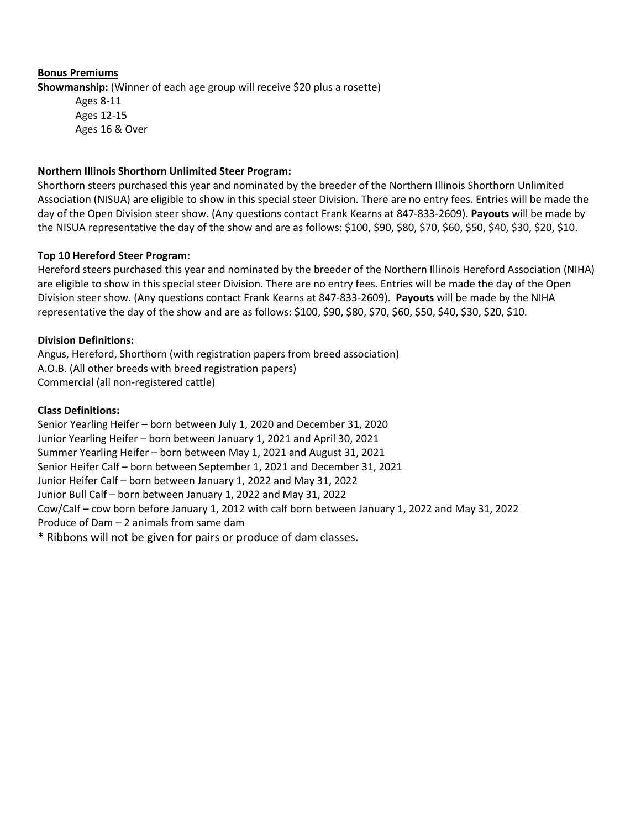### **Bonus Premiums Showmanship:** (Winner of each age group will receive \$20 plus a rosette) Ages 8-11 Ages 12-15 Ages 16 & Over

#### **Northern Illinois Shorthorn Unlimited Steer Program:**

Shorthorn steers purchased this year and nominated by the breeder of the Northern Illinois Shorthorn Unlimited Association (NISUA) are eligible to show in this special steer Division. There are no entry fees. Entries will be made the day of the Open Division steer show. (Any questions contact Frank Kearns at 847-833-2609). **Payouts** will be made by the NISUA representative the day of the show and are as follows: \$100, \$90, \$80, \$70, \$60, \$50, \$40, \$30, \$20, \$10.

#### **Top 10 Hereford Steer Program:**

Hereford steers purchased this year and nominated by the breeder of the Northern Illinois Hereford Association (NIHA) are eligible to show in this special steer Division. There are no entry fees. Entries will be made the day of the Open Division steer show. (Any questions contact Frank Kearns at 847-833-2609). **Payouts** will be made by the NIHA representative the day of the show and are as follows: \$100, \$90, \$80, \$70, \$60, \$50, \$40, \$30, \$20, \$10.

#### **Division Definitions:**

Angus, Hereford, Shorthorn (with registration papers from breed association) A.O.B. (All other breeds with breed registration papers) Commercial (all non-registered cattle)

#### **Class Definitions:**

Senior Yearling Heifer – born between July 1, 2020 and December 31, 2020 Junior Yearling Heifer – born between January 1, 2021 and April 30, 2021 Summer Yearling Heifer – born between May 1, 2021 and August 31, 2021 Senior Heifer Calf – born between September 1, 2021 and December 31, 2021 Junior Heifer Calf – born between January 1, 2022 and May 31, 2022 Junior Bull Calf – born between January 1, 2022 and May 31, 2022 Cow/Calf – cow born before January 1, 2012 with calf born between January 1, 2022 and May 31, 2022 Produce of Dam – 2 animals from same dam \* Ribbons will not be given for pairs or produce of dam classes.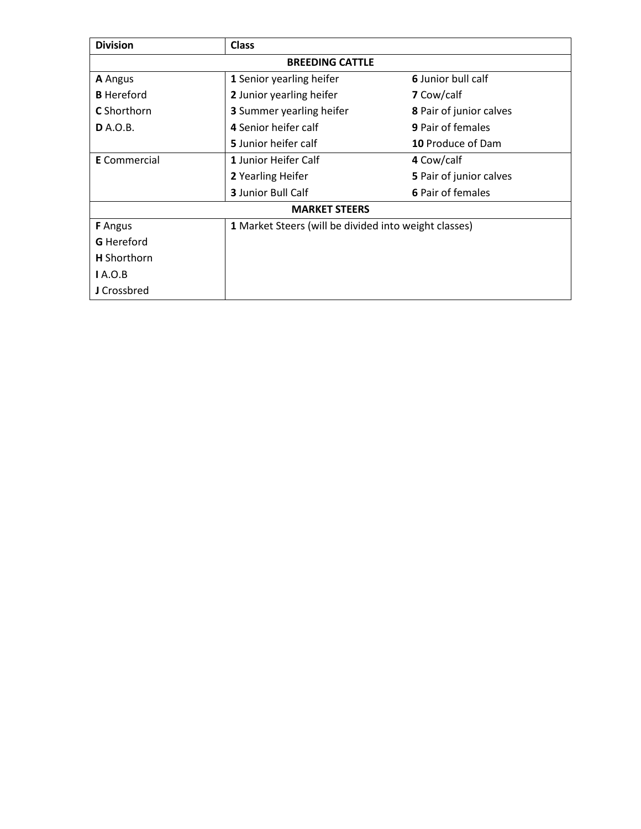| <b>Division</b>        | <b>Class</b>                                   |                                                       |  |  |  |  |  |
|------------------------|------------------------------------------------|-------------------------------------------------------|--|--|--|--|--|
| <b>BREEDING CATTLE</b> |                                                |                                                       |  |  |  |  |  |
| A Angus                | 6 Junior bull calf<br>1 Senior yearling heifer |                                                       |  |  |  |  |  |
| <b>B</b> Hereford      | 2 Junior yearling heifer                       | <b>7</b> Cow/calf                                     |  |  |  |  |  |
| <b>C</b> Shorthorn     | <b>3</b> Summer yearling heifer                | <b>8</b> Pair of junior calves                        |  |  |  |  |  |
| <b>D</b> A.O.B.        | 4 Senior heifer calf                           | <b>9 Pair of females</b>                              |  |  |  |  |  |
|                        | 5 Junior heifer calf                           | 10 Produce of Dam                                     |  |  |  |  |  |
| <b>E</b> Commercial    | 1 Junior Heifer Calf                           | 4 Cow/calf                                            |  |  |  |  |  |
|                        | 2 Yearling Heifer                              | 5 Pair of junior calves                               |  |  |  |  |  |
|                        | <b>3</b> Junior Bull Calf                      | 6 Pair of females                                     |  |  |  |  |  |
| <b>MARKET STEERS</b>   |                                                |                                                       |  |  |  |  |  |
| <b>F</b> Angus         |                                                | 1 Market Steers (will be divided into weight classes) |  |  |  |  |  |
| <b>G</b> Hereford      |                                                |                                                       |  |  |  |  |  |
| <b>H</b> Shorthorn     |                                                |                                                       |  |  |  |  |  |
| IA.O.B                 |                                                |                                                       |  |  |  |  |  |
| J Crossbred            |                                                |                                                       |  |  |  |  |  |